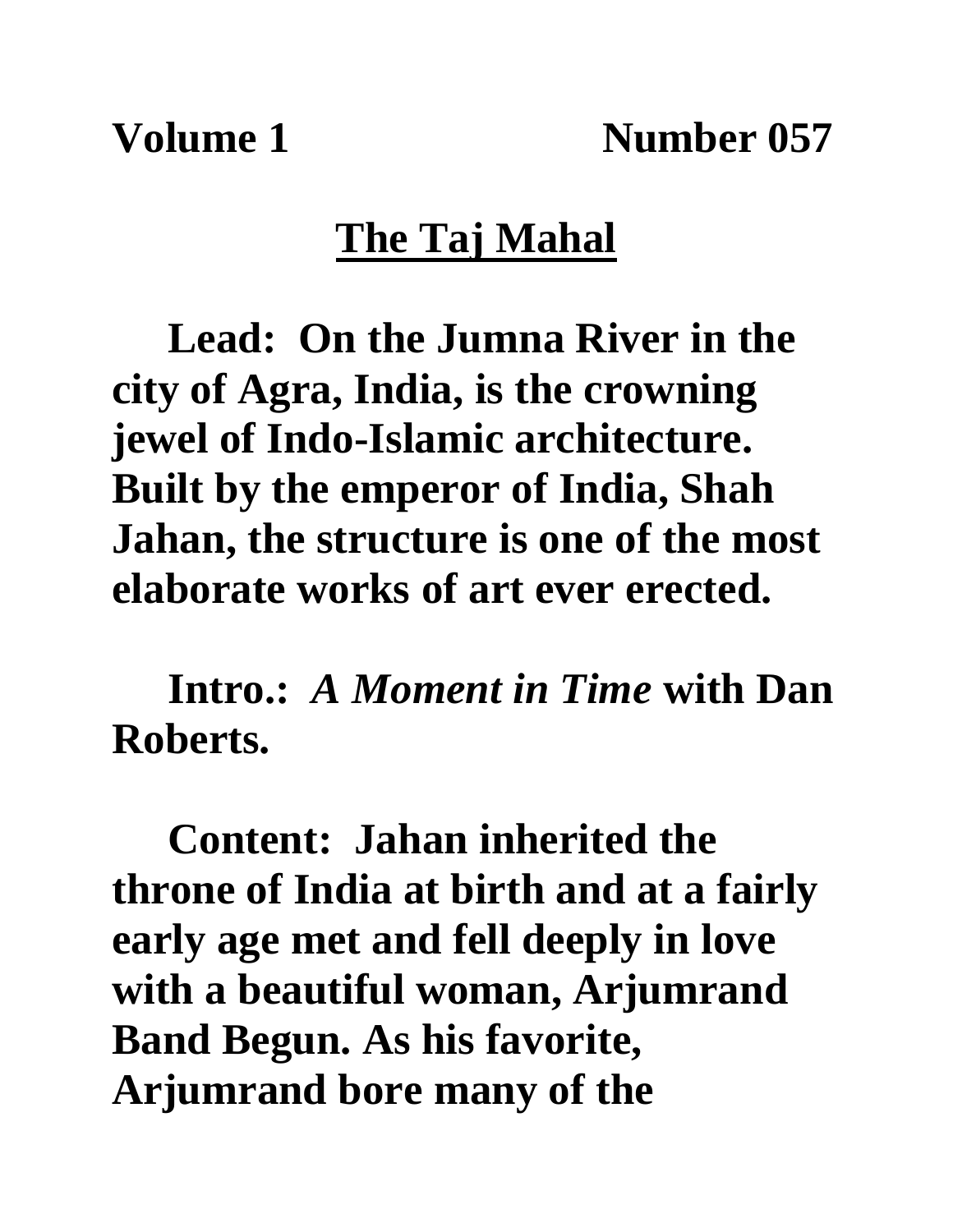**Volume 1 Number 057**

## **The Taj Mahal**

**Lead: On the Jumna River in the city of Agra, India, is the crowning jewel of Indo-Islamic architecture. Built by the emperor of India, Shah Jahan, the structure is one of the most elaborate works of art ever erected.**

**Intro.:** *A Moment in Time* **with Dan Roberts.**

**Content: Jahan inherited the throne of India at birth and at a fairly early age met and fell deeply in love with a beautiful woman, Arjumrand Band Begun. As his favorite, Arjumrand bore many of the**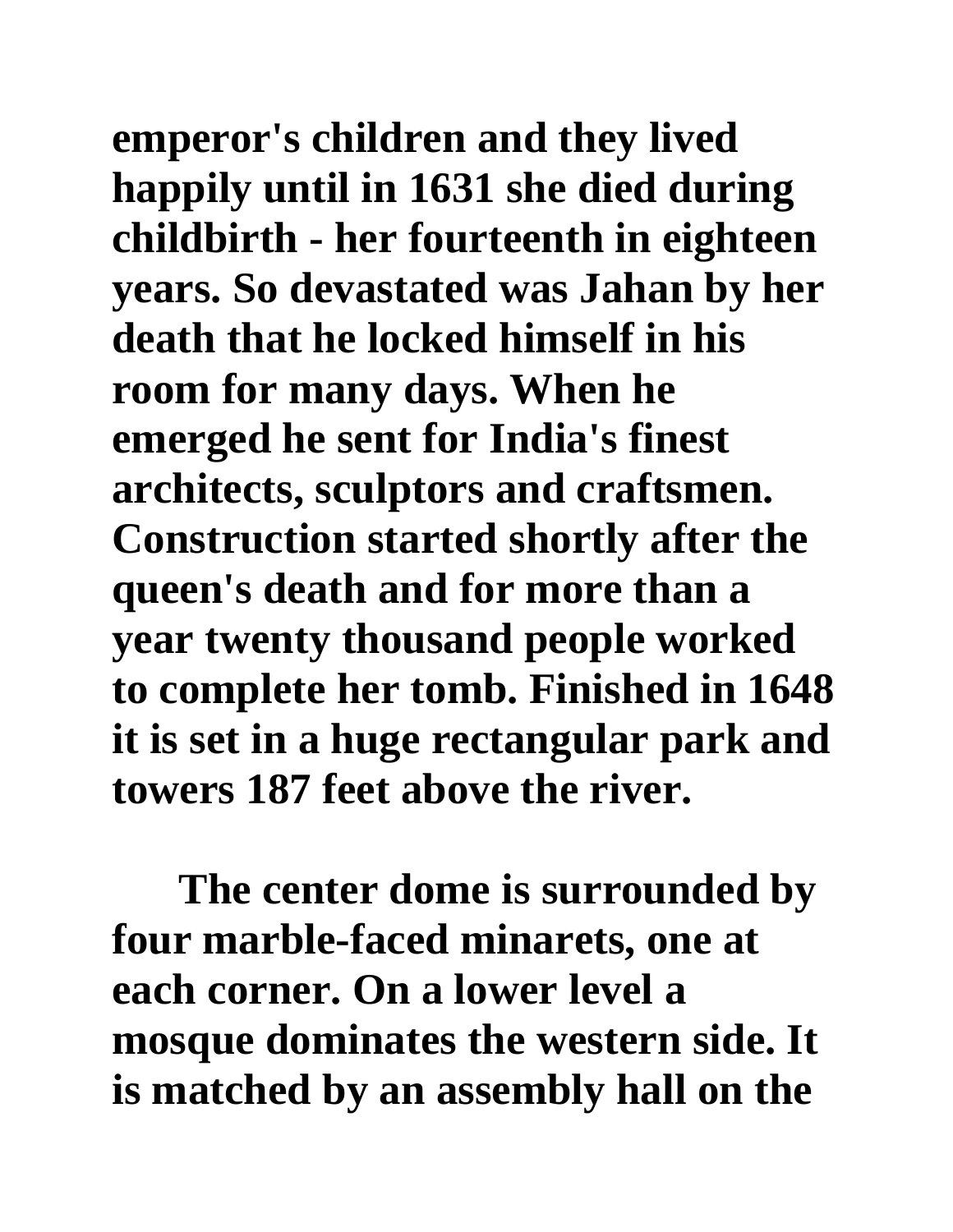**emperor's children and they lived happily until in 1631 she died during childbirth - her fourteenth in eighteen years. So devastated was Jahan by her death that he locked himself in his room for many days. When he emerged he sent for India's finest architects, sculptors and craftsmen. Construction started shortly after the queen's death and for more than a year twenty thousand people worked to complete her tomb. Finished in 1648 it is set in a huge rectangular park and towers 187 feet above the river.** 

**The center dome is surrounded by four marble-faced minarets, one at each corner. On a lower level a mosque dominates the western side. It is matched by an assembly hall on the**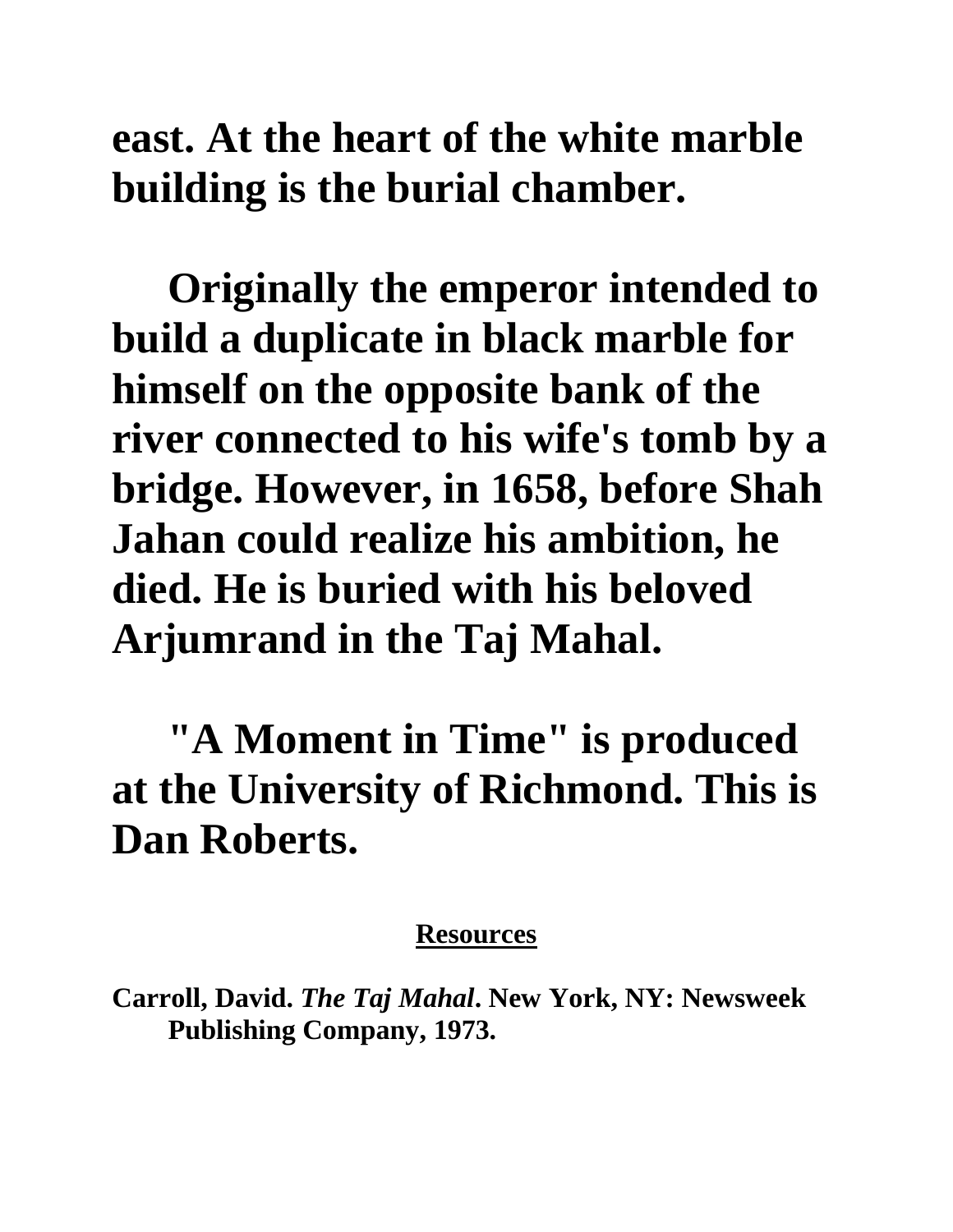**east. At the heart of the white marble building is the burial chamber.**

**Originally the emperor intended to build a duplicate in black marble for himself on the opposite bank of the river connected to his wife's tomb by a bridge. However, in 1658, before Shah Jahan could realize his ambition, he died. He is buried with his beloved Arjumrand in the Taj Mahal.**

**"A Moment in Time" is produced at the University of Richmond. This is Dan Roberts.**

## **Resources**

**Carroll, David.** *The Taj Mahal***. New York, NY: Newsweek Publishing Company, 1973.**